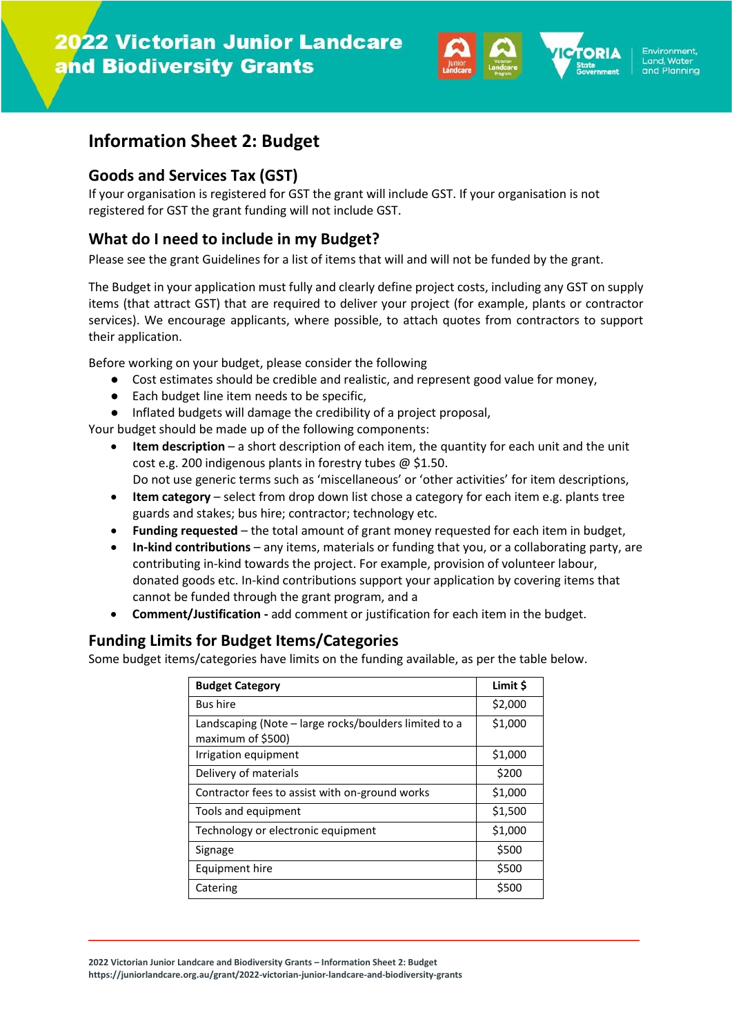

# **Information Sheet 2: Budget**

#### **Goods and Services Tax (GST)**

If your organisation is registered for GST the grant will include GST. If your organisation is not registered for GST the grant funding will not include GST.

## **What do I need to include in my Budget?**

Please see the grant Guidelines for a list of items that will and will not be funded by the grant.

The Budget in your application must fully and clearly define project costs, including any GST on supply items (that attract GST) that are required to deliver your project (for example, plants or contractor services). We encourage applicants, where possible, to attach quotes from contractors to support their application.

Before working on your budget, please consider the following

- Cost estimates should be credible and realistic, and represent good value for money,
- Each budget line item needs to be specific,
- Inflated budgets will damage the credibility of a project proposal,

Your budget should be made up of the following components:

- **Item description** a short description of each item, the quantity for each unit and the unit cost e.g. 200 indigenous plants in forestry tubes @ \$1.50. Do not use generic terms such as 'miscellaneous' or 'other activities' for item descriptions,
- **Item category**  select from drop down list chose a category for each item e.g. plants tree guards and stakes; bus hire; contractor; technology etc.
- **Funding requested** the total amount of grant money requested for each item in budget,
- **In-kind contributions** any items, materials or funding that you, or a collaborating party, are contributing in-kind towards the project. For example, provision of volunteer labour, donated goods etc. In-kind contributions support your application by covering items that cannot be funded through the grant program, and a
- **Comment/Justification -** add comment or justification for each item in the budget.

## **Funding Limits for Budget Items/Categories**

Some budget items/categories have limits on the funding available, as per the table below.

| <b>Budget Category</b>                                                     | Limit \$ |
|----------------------------------------------------------------------------|----------|
| <b>Bus hire</b>                                                            | \$2,000  |
| Landscaping (Note – large rocks/boulders limited to a<br>maximum of \$500) | \$1,000  |
| Irrigation equipment                                                       | \$1,000  |
| Delivery of materials                                                      | \$200    |
| Contractor fees to assist with on-ground works                             | \$1,000  |
| Tools and equipment                                                        | \$1,500  |
| Technology or electronic equipment                                         | \$1,000  |
| Signage                                                                    | \$500    |
| Equipment hire                                                             | \$500    |
| Catering                                                                   | \$500    |